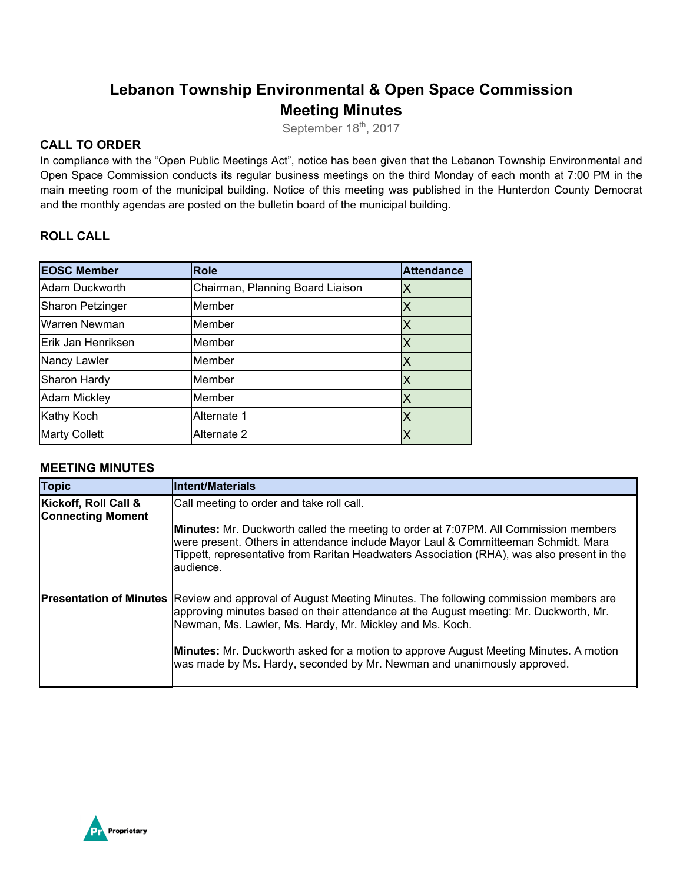# **Lebanon Township Environmental & Open Space Commission Meeting Minutes**

September 18<sup>th</sup>, 2017

## **CALL TO ORDER**

In compliance with the "Open Public Meetings Act", notice has been given that the Lebanon Township Environmental and Open Space Commission conducts its regular business meetings on the third Monday of each month at 7:00 PM in the main meeting room of the municipal building. Notice of this meeting was published in the Hunterdon County Democrat and the monthly agendas are posted on the bulletin board of the municipal building.

## **ROLL CALL**

| <b>EOSC Member</b>   | <b>Role</b>                      | <b>Attendance</b> |
|----------------------|----------------------------------|-------------------|
| Adam Duckworth       | Chairman, Planning Board Liaison | Х                 |
| Sharon Petzinger     | Member                           |                   |
| Warren Newman        | Member                           |                   |
| Erik Jan Henriksen   | Member                           | Χ                 |
| Nancy Lawler         | Member                           | Х                 |
| Sharon Hardy         | Member                           | Х                 |
| <b>Adam Mickley</b>  | Member                           |                   |
| Kathy Koch           | Alternate 1                      |                   |
| <b>Marty Collett</b> | Alternate 2                      |                   |

## **MEETING MINUTES**

| <b>Topic</b>                                     | <b>Intent/Materials</b>                                                                                                                                                                                                                                                                       |
|--------------------------------------------------|-----------------------------------------------------------------------------------------------------------------------------------------------------------------------------------------------------------------------------------------------------------------------------------------------|
| Kickoff, Roll Call &<br><b>Connecting Moment</b> | Call meeting to order and take roll call.                                                                                                                                                                                                                                                     |
|                                                  | <b>Minutes:</b> Mr. Duckworth called the meeting to order at 7:07PM. All Commission members<br>were present. Others in attendance include Mayor Laul & Committeeman Schmidt. Mara<br>Tippett, representative from Raritan Headwaters Association (RHA), was also present in the<br>laudience. |
|                                                  | <b>Presentation of Minutes</b> Review and approval of August Meeting Minutes. The following commission members are<br>approving minutes based on their attendance at the August meeting: Mr. Duckworth, Mr.<br>Newman, Ms. Lawler, Ms. Hardy, Mr. Mickley and Ms. Koch.                       |
|                                                  | Minutes: Mr. Duckworth asked for a motion to approve August Meeting Minutes. A motion<br>was made by Ms. Hardy, seconded by Mr. Newman and unanimously approved.                                                                                                                              |

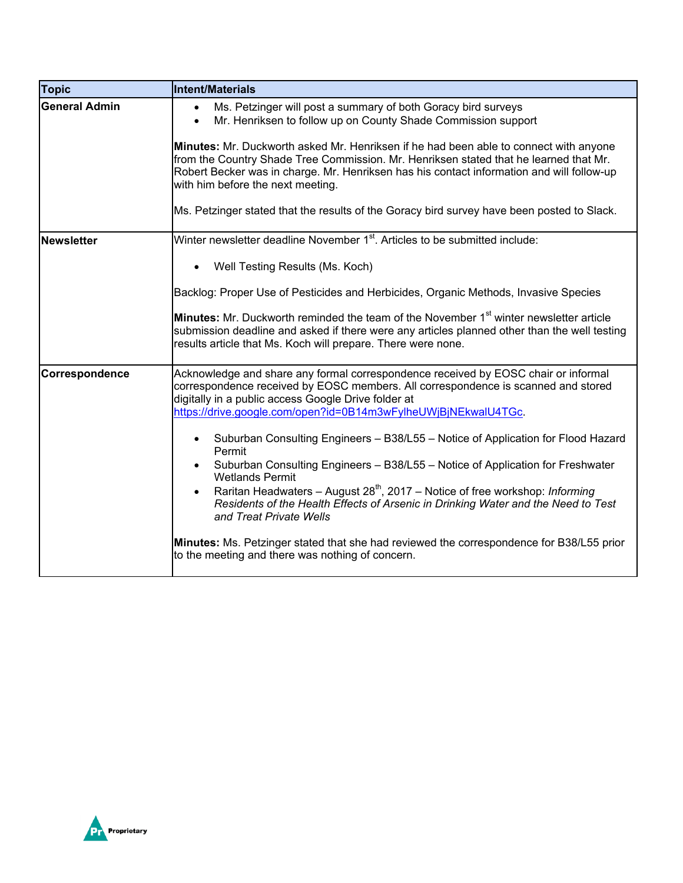| Topic                | Intent/Materials                                                                                                                                                                                                                                                                                                 |
|----------------------|------------------------------------------------------------------------------------------------------------------------------------------------------------------------------------------------------------------------------------------------------------------------------------------------------------------|
| <b>General Admin</b> | Ms. Petzinger will post a summary of both Goracy bird surveys<br>$\bullet$<br>Mr. Henriksen to follow up on County Shade Commission support                                                                                                                                                                      |
|                      | Minutes: Mr. Duckworth asked Mr. Henriksen if he had been able to connect with anyone<br>from the Country Shade Tree Commission. Mr. Henriksen stated that he learned that Mr.<br>Robert Becker was in charge. Mr. Henriksen has his contact information and will follow-up<br>with him before the next meeting. |
|                      | Ms. Petzinger stated that the results of the Goracy bird survey have been posted to Slack.                                                                                                                                                                                                                       |
| <b>Newsletter</b>    | Winter newsletter deadline November 1 <sup>st</sup> . Articles to be submitted include:                                                                                                                                                                                                                          |
|                      | Well Testing Results (Ms. Koch)                                                                                                                                                                                                                                                                                  |
|                      | Backlog: Proper Use of Pesticides and Herbicides, Organic Methods, Invasive Species                                                                                                                                                                                                                              |
|                      | <b>Minutes:</b> Mr. Duckworth reminded the team of the November 1 <sup>st</sup> winter newsletter article<br>submission deadline and asked if there were any articles planned other than the well testing<br>results article that Ms. Koch will prepare. There were none.                                        |
| Correspondence       | Acknowledge and share any formal correspondence received by EOSC chair or informal<br>correspondence received by EOSC members. All correspondence is scanned and stored<br>digitally in a public access Google Drive folder at<br>https://drive.google.com/open?id=0B14m3wFylheUWjBjNEkwalU4TGc.                 |
|                      | Suburban Consulting Engineers - B38/L55 - Notice of Application for Flood Hazard<br>Permit<br>Suburban Consulting Engineers - B38/L55 - Notice of Application for Freshwater                                                                                                                                     |
|                      | <b>Wetlands Permit</b><br>Raritan Headwaters - August $28^{th}$ , 2017 - Notice of free workshop: Informing<br>Residents of the Health Effects of Arsenic in Drinking Water and the Need to Test<br>and Treat Private Wells                                                                                      |
|                      | Minutes: Ms. Petzinger stated that she had reviewed the correspondence for B38/L55 prior<br>to the meeting and there was nothing of concern.                                                                                                                                                                     |

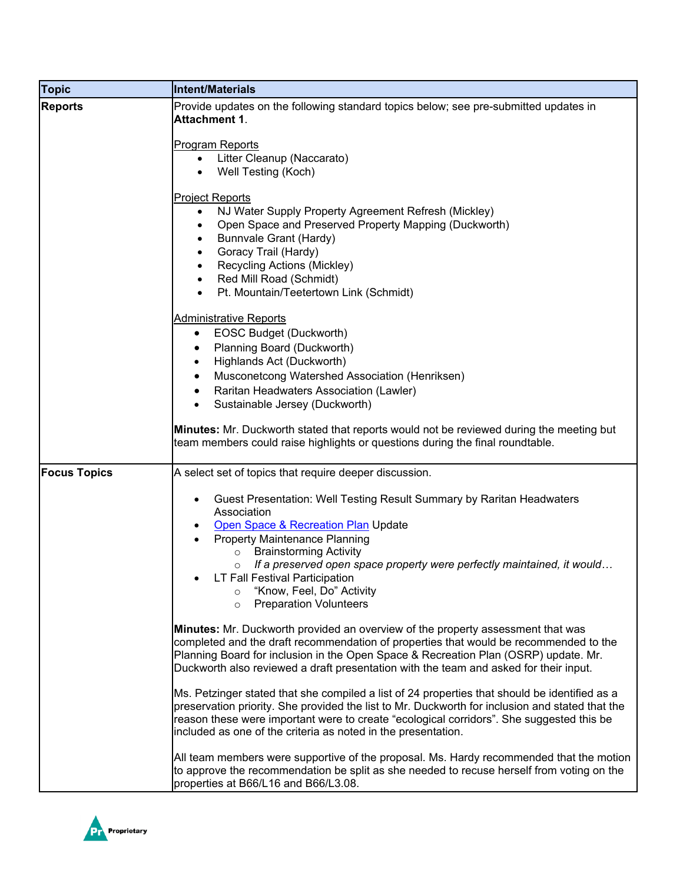| <b>Topic</b>        | Intent/Materials                                                                                                                                                                                                                                                                                                                                                                                                                                                                           |
|---------------------|--------------------------------------------------------------------------------------------------------------------------------------------------------------------------------------------------------------------------------------------------------------------------------------------------------------------------------------------------------------------------------------------------------------------------------------------------------------------------------------------|
| <b>Reports</b>      | Provide updates on the following standard topics below; see pre-submitted updates in<br><b>Attachment 1.</b>                                                                                                                                                                                                                                                                                                                                                                               |
|                     | Program Reports<br>Litter Cleanup (Naccarato)<br>$\bullet$<br>Well Testing (Koch)<br>$\bullet$                                                                                                                                                                                                                                                                                                                                                                                             |
|                     | Project Reports<br>NJ Water Supply Property Agreement Refresh (Mickley)<br>$\bullet$<br>Open Space and Preserved Property Mapping (Duckworth)<br>$\bullet$<br>Bunnvale Grant (Hardy)<br>٠<br>Goracy Trail (Hardy)<br>$\bullet$<br>Recycling Actions (Mickley)<br>$\bullet$<br>Red Mill Road (Schmidt)<br>$\bullet$<br>Pt. Mountain/Teetertown Link (Schmidt)<br>$\bullet$                                                                                                                  |
|                     | <b>Administrative Reports</b><br><b>EOSC Budget (Duckworth)</b><br>$\bullet$<br>Planning Board (Duckworth)<br>$\bullet$<br>Highlands Act (Duckworth)<br>$\bullet$<br>Musconetcong Watershed Association (Henriksen)<br>٠<br>Raritan Headwaters Association (Lawler)<br>$\bullet$<br>Sustainable Jersey (Duckworth)<br>Minutes: Mr. Duckworth stated that reports would not be reviewed during the meeting but                                                                              |
|                     | team members could raise highlights or questions during the final roundtable.                                                                                                                                                                                                                                                                                                                                                                                                              |
| <b>Focus Topics</b> | A select set of topics that require deeper discussion.<br>Guest Presentation: Well Testing Result Summary by Raritan Headwaters<br>$\bullet$<br>Association<br>Open Space & Recreation Plan Update<br>Property Maintenance Planning<br><b>Brainstorming Activity</b><br>$\circ$<br>If a preserved open space property were perfectly maintained, it would<br>$\circ$<br>LT Fall Festival Participation<br>"Know, Feel, Do" Activity<br>$\circ$<br><b>Preparation Volunteers</b><br>$\circ$ |
|                     | Minutes: Mr. Duckworth provided an overview of the property assessment that was<br>completed and the draft recommendation of properties that would be recommended to the<br>Planning Board for inclusion in the Open Space & Recreation Plan (OSRP) update. Mr.<br>Duckworth also reviewed a draft presentation with the team and asked for their input.<br>Ms. Petzinger stated that she compiled a list of 24 properties that should be identified as a                                  |
|                     | preservation priority. She provided the list to Mr. Duckworth for inclusion and stated that the<br>reason these were important were to create "ecological corridors". She suggested this be<br>included as one of the criteria as noted in the presentation.<br>All team members were supportive of the proposal. Ms. Hardy recommended that the motion                                                                                                                                    |
|                     | to approve the recommendation be split as she needed to recuse herself from voting on the<br>properties at B66/L16 and B66/L3.08.                                                                                                                                                                                                                                                                                                                                                          |

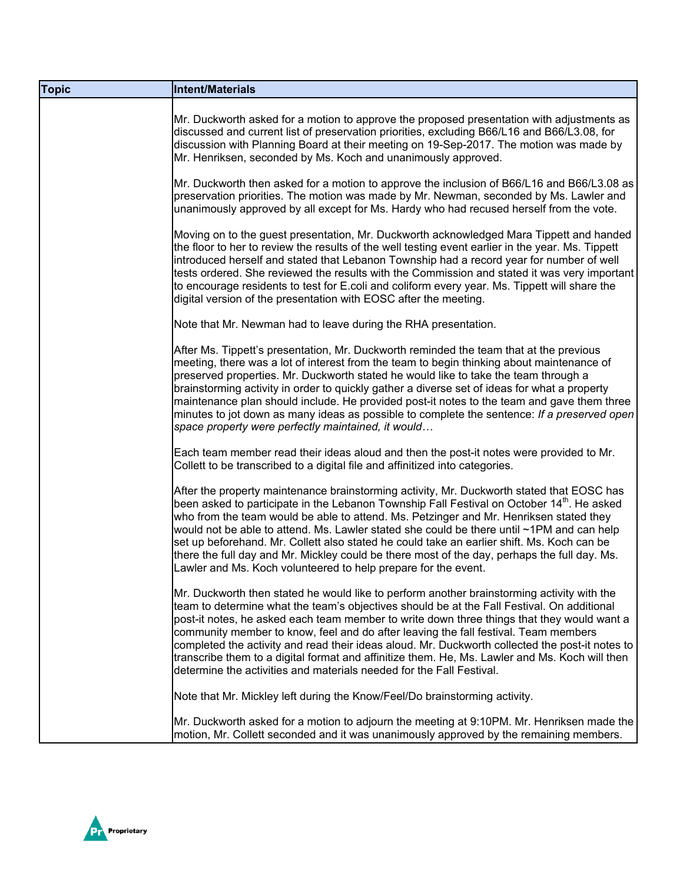| <b>Topic</b> | Intent/Materials                                                                                                                                                                                                                                                                                                                                                                                                                                                                                                                                                                                                                                           |
|--------------|------------------------------------------------------------------------------------------------------------------------------------------------------------------------------------------------------------------------------------------------------------------------------------------------------------------------------------------------------------------------------------------------------------------------------------------------------------------------------------------------------------------------------------------------------------------------------------------------------------------------------------------------------------|
|              | Mr. Duckworth asked for a motion to approve the proposed presentation with adjustments as<br>discussed and current list of preservation priorities, excluding B66/L16 and B66/L3.08, for<br>discussion with Planning Board at their meeting on 19-Sep-2017. The motion was made by<br>Mr. Henriksen, seconded by Ms. Koch and unanimously approved.                                                                                                                                                                                                                                                                                                        |
|              | Mr. Duckworth then asked for a motion to approve the inclusion of B66/L16 and B66/L3.08 as<br>preservation priorities. The motion was made by Mr. Newman, seconded by Ms. Lawler and<br>unanimously approved by all except for Ms. Hardy who had recused herself from the vote.                                                                                                                                                                                                                                                                                                                                                                            |
|              | Moving on to the guest presentation, Mr. Duckworth acknowledged Mara Tippett and handed<br>the floor to her to review the results of the well testing event earlier in the year. Ms. Tippett<br>introduced herself and stated that Lebanon Township had a record year for number of well<br>tests ordered. She reviewed the results with the Commission and stated it was very important<br>to encourage residents to test for E.coli and coliform every year. Ms. Tippett will share the<br>digital version of the presentation with EOSC after the meeting.                                                                                              |
|              | Note that Mr. Newman had to leave during the RHA presentation.                                                                                                                                                                                                                                                                                                                                                                                                                                                                                                                                                                                             |
|              | After Ms. Tippett's presentation, Mr. Duckworth reminded the team that at the previous<br>meeting, there was a lot of interest from the team to begin thinking about maintenance of<br>preserved properties. Mr. Duckworth stated he would like to take the team through a<br>brainstorming activity in order to quickly gather a diverse set of ideas for what a property<br>maintenance plan should include. He provided post-it notes to the team and gave them three<br>minutes to jot down as many ideas as possible to complete the sentence: If a preserved open<br>space property were perfectly maintained, it would                              |
|              | Each team member read their ideas aloud and then the post-it notes were provided to Mr.<br>Collett to be transcribed to a digital file and affinitized into categories.                                                                                                                                                                                                                                                                                                                                                                                                                                                                                    |
|              | After the property maintenance brainstorming activity, Mr. Duckworth stated that EOSC has<br>been asked to participate in the Lebanon Township Fall Festival on October 14 <sup>th</sup> . He asked<br>who from the team would be able to attend. Ms. Petzinger and Mr. Henriksen stated they<br>would not be able to attend. Ms. Lawler stated she could be there until ~1PM and can help<br>set up beforehand. Mr. Collett also stated he could take an earlier shift. Ms. Koch can be<br>there the full day and Mr. Mickley could be there most of the day, perhaps the full day. Ms.<br>Lawler and Ms. Koch volunteered to help prepare for the event. |
|              | Mr. Duckworth then stated he would like to perform another brainstorming activity with the<br>team to determine what the team's objectives should be at the Fall Festival. On additional<br>post-it notes, he asked each team member to write down three things that they would want a<br>community member to know, feel and do after leaving the fall festival. Team members<br>completed the activity and read their ideas aloud. Mr. Duckworth collected the post-it notes to<br>transcribe them to a digital format and affinitize them. He, Ms. Lawler and Ms. Koch will then<br>determine the activities and materials needed for the Fall Festival. |
|              | Note that Mr. Mickley left during the Know/Feel/Do brainstorming activity.                                                                                                                                                                                                                                                                                                                                                                                                                                                                                                                                                                                 |
|              | Mr. Duckworth asked for a motion to adjourn the meeting at 9:10PM. Mr. Henriksen made the<br>motion, Mr. Collett seconded and it was unanimously approved by the remaining members.                                                                                                                                                                                                                                                                                                                                                                                                                                                                        |

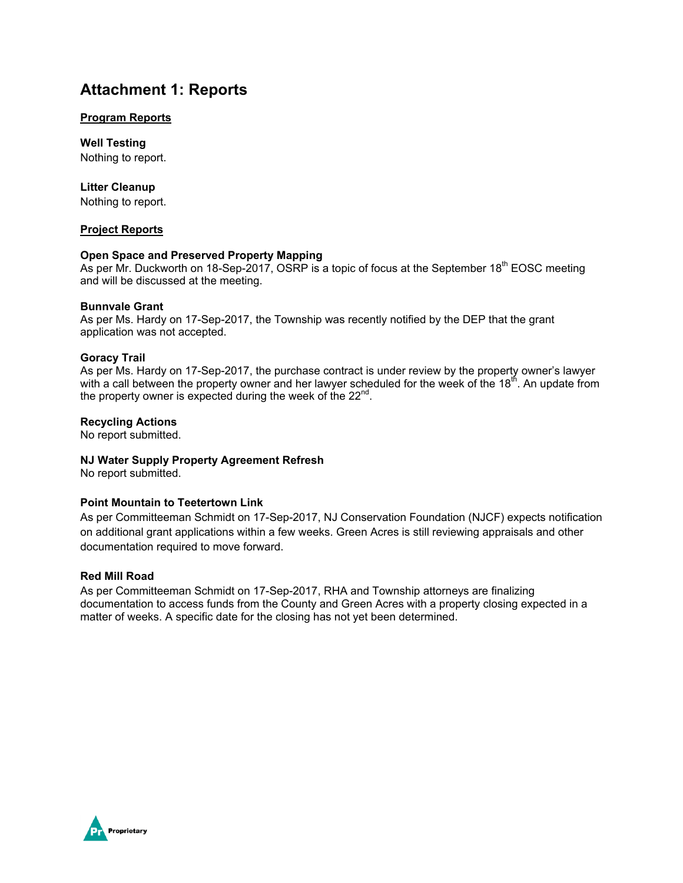## **Attachment 1: Reports**

#### **Program Reports**

**Well Testing** Nothing to report.

#### **Litter Cleanup**

Nothing to report.

#### **Project Reports**

#### **Open Space and Preserved Property Mapping**

As per Mr. Duckworth on 18-Sep-2017, OSRP is a topic of focus at the September 18<sup>th</sup> EOSC meeting and will be discussed at the meeting.

#### **Bunnvale Grant**

As per Ms. Hardy on 17-Sep-2017, the Township was recently notified by the DEP that the grant application was not accepted.

#### **Goracy Trail**

As per Ms. Hardy on 17-Sep-2017, the purchase contract is under review by the property owner's lawyer with a call between the property owner and her lawyer scheduled for the week of the  $18<sup>th</sup>$ . An update from the property owner is expected during the week of the  $22^{nd}$ .

#### **Recycling Actions**

No report submitted.

#### **NJ Water Supply Property Agreement Refresh**

No report submitted.

#### **Point Mountain to Teetertown Link**

As per Committeeman Schmidt on 17-Sep-2017, NJ Conservation Foundation (NJCF) expects notification on additional grant applications within a few weeks. Green Acres is still reviewing appraisals and other documentation required to move forward.

#### **Red Mill Road**

As per Committeeman Schmidt on 17-Sep-2017, RHA and Township attorneys are finalizing documentation to access funds from the County and Green Acres with a property closing expected in a matter of weeks. A specific date for the closing has not yet been determined.